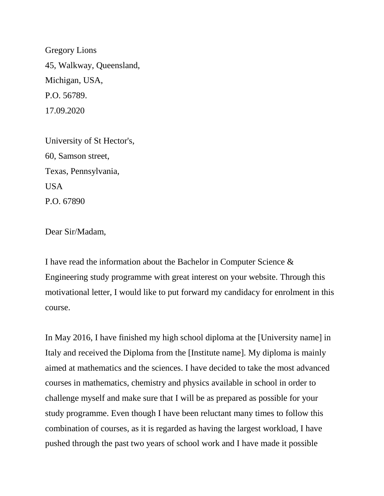Gregory Lions 45, Walkway, Queensland, Michigan, USA, P.O. 56789. 17.09.2020

University of St Hector's, 60, Samson street, Texas, Pennsylvania, USA P.O. 67890

Dear Sir/Madam,

I have read the information about the Bachelor in Computer Science & Engineering study programme with great interest on your website. Through this motivational letter, I would like to put forward my candidacy for enrolment in this course.

In May 2016, I have finished my high school diploma at the [University name] in Italy and received the Diploma from the [Institute name]. My diploma is mainly aimed at mathematics and the sciences. I have decided to take the most advanced courses in mathematics, chemistry and physics available in school in order to challenge myself and make sure that I will be as prepared as possible for your study programme. Even though I have been reluctant many times to follow this combination of courses, as it is regarded as having the largest workload, I have pushed through the past two years of school work and I have made it possible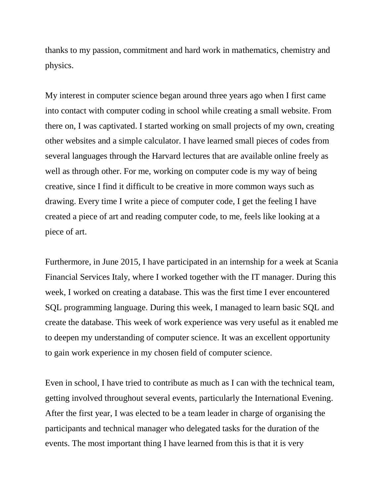thanks to my passion, commitment and hard work in mathematics, chemistry and physics.

My interest in computer science began around three years ago when I first came into contact with computer coding in school while creating a small website. From there on, I was captivated. I started working on small projects of my own, creating other websites and a simple calculator. I have learned small pieces of codes from several languages through the Harvard lectures that are available online freely as well as through other. For me, working on computer code is my way of being creative, since I find it difficult to be creative in more common ways such as drawing. Every time I write a piece of computer code, I get the feeling I have created a piece of art and reading computer code, to me, feels like looking at a piece of art.

Furthermore, in June 2015, I have participated in an internship for a week at Scania Financial Services Italy, where I worked together with the IT manager. During this week, I worked on creating a database. This was the first time I ever encountered SQL programming language. During this week, I managed to learn basic SQL and create the database. This week of work experience was very useful as it enabled me to deepen my understanding of computer science. It was an excellent opportunity to gain work experience in my chosen field of computer science.

Even in school, I have tried to contribute as much as I can with the technical team, getting involved throughout several events, particularly the International Evening. After the first year, I was elected to be a team leader in charge of organising the participants and technical manager who delegated tasks for the duration of the events. The most important thing I have learned from this is that it is very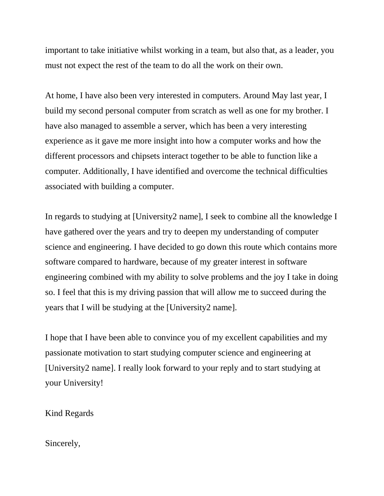important to take initiative whilst working in a team, but also that, as a leader, you must not expect the rest of the team to do all the work on their own.

At home, I have also been very interested in computers. Around May last year, I build my second personal computer from scratch as well as one for my brother. I have also managed to assemble a server, which has been a very interesting experience as it gave me more insight into how a computer works and how the different processors and chipsets interact together to be able to function like a computer. Additionally, I have identified and overcome the technical difficulties associated with building a computer.

In regards to studying at [University2 name], I seek to combine all the knowledge I have gathered over the years and try to deepen my understanding of computer science and engineering. I have decided to go down this route which contains more software compared to hardware, because of my greater interest in software engineering combined with my ability to solve problems and the joy I take in doing so. I feel that this is my driving passion that will allow me to succeed during the years that I will be studying at the [University2 name].

I hope that I have been able to convince you of my excellent capabilities and my passionate motivation to start studying computer science and engineering at [University2 name]. I really look forward to your reply and to start studying at your University!

Kind Regards

Sincerely,